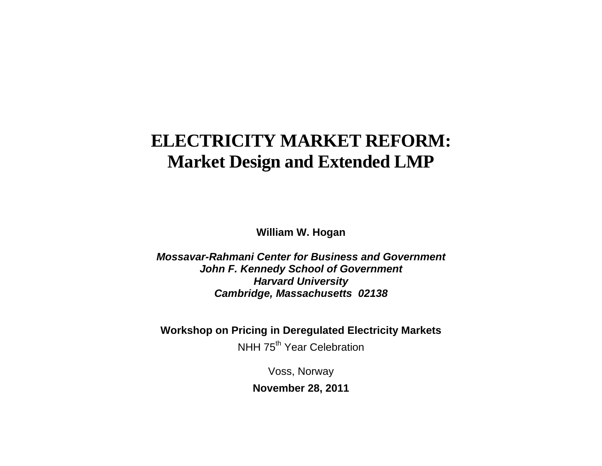# **ELECTRICITY MARKET REFORM: Market Design and Extended LMP**

**William W. Hogan** 

*Mossavar-Rahmani Center for Business and Government John F. Kennedy School of Government Harvard University Cambridge, Massachusetts 02138*

**Workshop on Pricing in Deregulated Electricity Markets** 

NHH 75<sup>th</sup> Year Celebration

Voss, Norway

**November 28, 2011**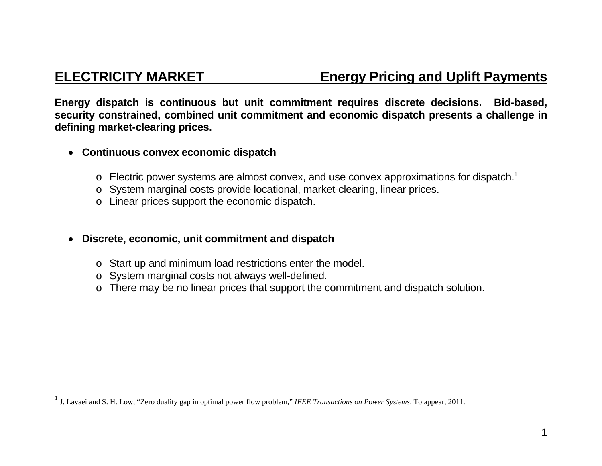## **ELECTRICITY MARKET Energy Pricing and Uplift Payments**

**Energy dispatch is continuous but unit commitment requires discrete decisions. Bid-based, security constrained, combined unit commitment and economic dispatch presents a challenge in defining market-clearing prices.** 

- **Continuous convex economic dispatch** 
	- $\circ$  Electric power systems are almost convex, and use convex approximations for dispatch.<sup>1</sup>
	- <sup>o</sup> System marginal costs provide locational, market-clearing, linear prices.
	- <sup>o</sup> Linear prices support the economic dispatch.
- $\bullet$  **Discrete, economic, unit commitment and dispatch** 
	- <sup>o</sup> Start up and minimum load restrictions enter the model.
	- <sup>o</sup> System marginal costs not always well-defined.
	- <sup>o</sup> There may be no linear prices that support the commitment and dispatch solution.

<sup>1</sup> J. Lavaei and S. H. Low, "Zero duality gap in optimal power flow problem," *IEEE Transactions on Power Systems*. To appear, 2011.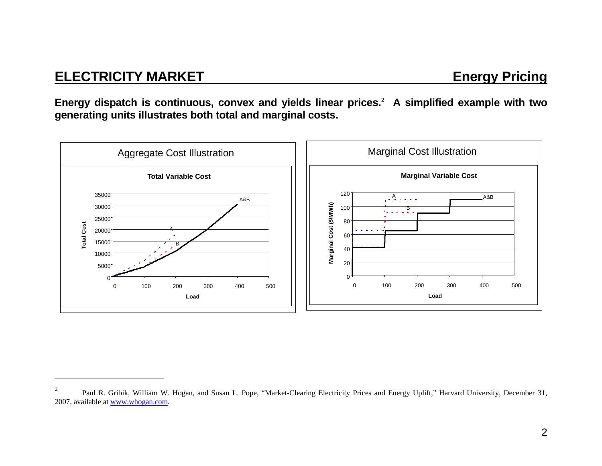## **ELECTRICITY MARKET** ELECTRICITY MARKET

**Energy dispatch is continuous, convex and yields linear prices.<sup>2</sup> A simplified example with two generating units illustrates both total and marginal costs.** 



<sup>&</sup>lt;sup>2</sup> Paul R. Gribik, William W. Hogan, and Susan L. Pope, "Market-Clearing Electricity Prices and Energy Uplift," Harvard University, December 31, 2007, available at www.whogan.com.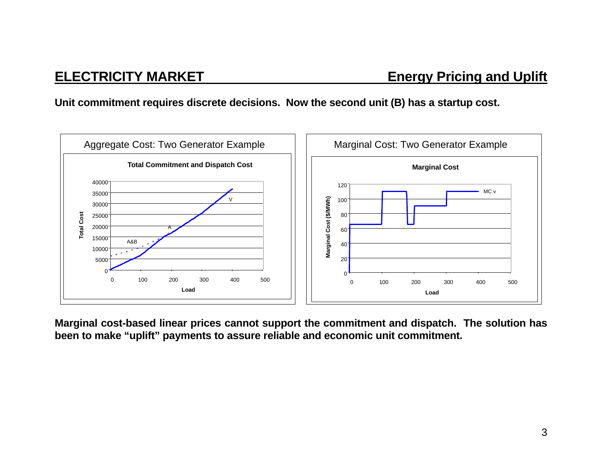### **Unit commitment requires discrete decisions. Now the second unit (B) has a startup cost.**



**Marginal cost-based linear prices cannot support the commitment and dispatch. The solution has been to make "uplift" payments to assure reliable and economic unit commitment.**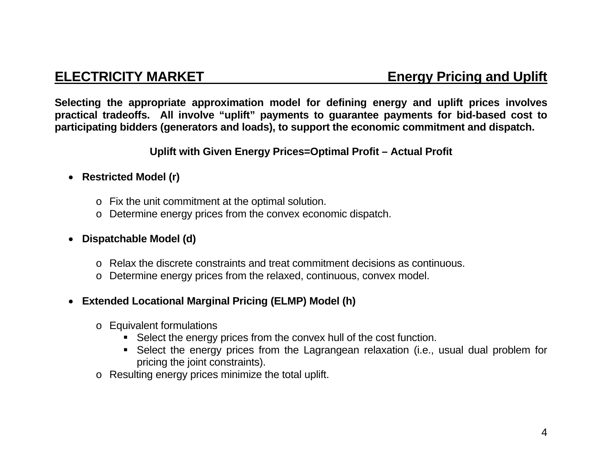**Selecting the appropriate approximation model for defining energy and uplift prices involves practical tradeoffs. All involve "uplift" payments to guarantee payments for bid-based cost to participating bidders (generators and loads), to support the economic commitment and dispatch.** 

### **Uplift with Given Energy Prices=Optimal Profit – Actual Profit**

### **Restricted Model (r)**

- <sup>o</sup> Fix the unit commitment at the optimal solution.
- <sup>o</sup> Determine energy prices from the convex economic dispatch.

### **Dispatchable Model (d)**

- o Relax the discrete constraints and treat commitment decisions as continuous.
- <sup>o</sup> Determine energy prices from the relaxed, continuous, convex model.

### **Extended Locational Marginal Pricing (ELMP) Model (h)**

- <sup>o</sup> Equivalent formulations
	- Select the energy prices from the convex hull of the cost function.
	- Select the energy prices from the Lagrangean relaxation (i.e., usual dual problem for pricing the joint constraints).
- o Resulting energy prices minimize the total uplift.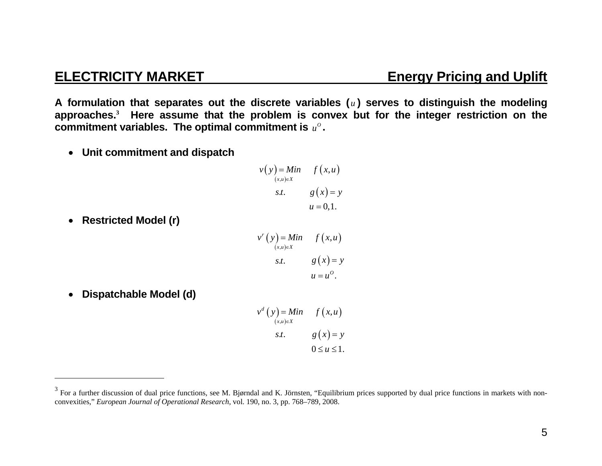**A formulation that separates out the discrete variables (** *u* **) serves to distinguish the modeling approaches.<sup>3</sup> Here assume that the problem is convex but for the integer restriction on the commitment variables. The optimal commitment is**  $u^{\circ}$ **.** 

**Unit commitment and dispatch** 

$$
v(y) = Min \t f(x,u)
$$
  
\n
$$
s.t. \t g(x) = y
$$
  
\n
$$
u = 0,1.
$$

**Restricted Model (r)** 

$$
v^{r}(y) = Min \t f(x, u)
$$
  
\n
$$
s.t. \t g(x) = y
$$
  
\n
$$
u = u^{o}.
$$

 $\bullet$ **Dispatchable Model (d)** 

> $(y)$  $(x,u)$  $=$  *Min*  $f(x, u)$ <br> $\underset{u}{\sum}$ s*t*.  $g(x) = y$  $d(y) = Min$   $f(x,$  $0 \le u \le 1$ .  $(x,u) \in X$  $v^a(y) = Min$  *f*  $(x, u)$  $\in$  $=$

## **ELECTRICITY MARKET Energy Pricing and Uplift**

<sup>&</sup>lt;sup>3</sup> For a further discussion of dual price functions, see M. Bjørndal and K. Jörnsten, "Equilibrium prices supported by dual price functions in markets with nonconvexities," *European Journal of Operational Research*, vol. 190, no. 3, pp. 768–789, 2008.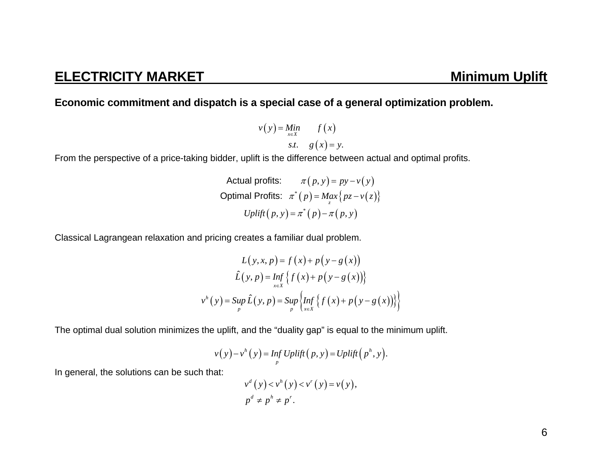### **Economic commitment and dispatch is a special case of a general optimization problem.**

$$
v(y) = \lim_{x \in X} \qquad f(x)
$$
  
s.t.  $g(x) = y$ .

From the perspective of a price-taking bidder, uplift is the difference between actual and optimal profits.

```
Actual profits: \pi(p, y) = py - v(y)\textsf{Optimal\ Profits:}~~ \pi^*(p) = \textsf{Max}\{pz - \nu(z)\}Uplift(p, y) = \pi^{*}(p) - \pi(p, y)
```
Classical Lagrangean relaxation and pricing creates a familiar dual problem.

$$
L(y, x, p) = f(x) + p(y - g(x))
$$
  

$$
\hat{L}(y, p) = \inf_{x \in X} \{ f(x) + p(y - g(x)) \}
$$
  

$$
v^{h}(y) = \sup_{p} \hat{L}(y, p) = \sup_{p} \{ \inf_{x \in X} \{ f(x) + p(y - g(x)) \} \}
$$

The optimal dual solution minimizes the uplift, and the "duality gap" is equal to the minimum uplift.

$$
v(y) - vh(y) = Inf Uplift(p, y) = Uplift(ph, y).
$$

In general, the solutions can be such that:

$$
v^d(y) < v^h(y) < v^r(y) = v(y),
$$
  
\n
$$
p^d \neq p^h \neq p^r.
$$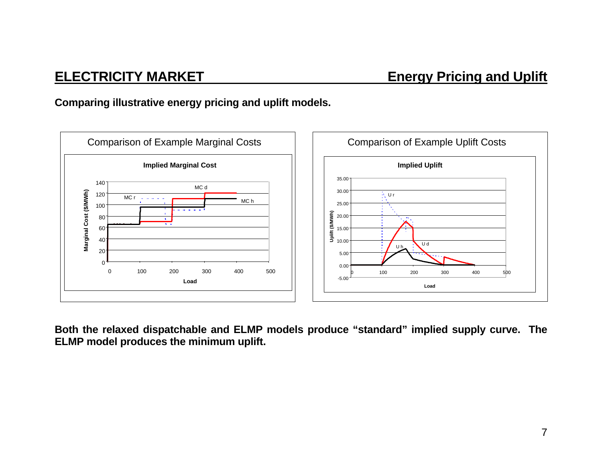## **ELECTRICITY MARKET Energy Pricing and Uplift**

### **Comparing illustrative energy pricing and uplift models.**



**Both the relaxed dispatchable and ELMP models produce "standard" implied supply curve. The ELMP model produces the minimum uplift.**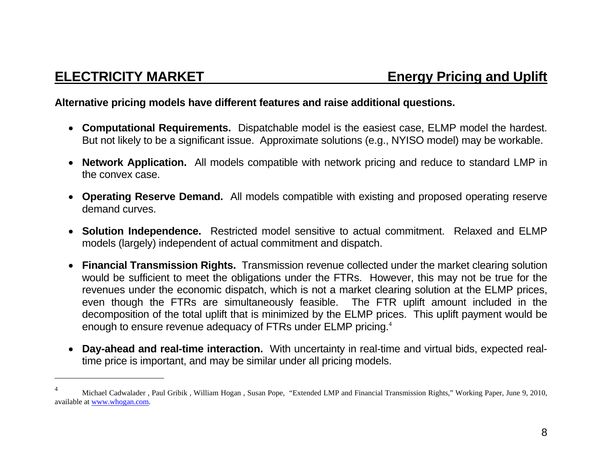### **Alternative pricing models have different features and raise additional questions.**

- **Computational Requirements.** Dispatchable model is the easiest case, ELMP model the hardest. But not likely to be a significant issue. Approximate solutions (e.g., NYISO model) may be workable.
- **Network Application.** All models compatible with network pricing and reduce to standard LMP in the convex case.
- **Operating Reserve Demand.** All models compatible with existing and proposed operating reserve demand curves.
- **Solution Independence.** Restricted model sensitive to actual commitment. Relaxed and ELMP models (largely) independent of actual commitment and dispatch.
- **Financial Transmission Rights.** Transmission revenue collected under the market clearing solution would be sufficient to meet the obligations under the FTRs. However, this may not be true for the revenues under the economic dispatch, which is not a market clearing solution at the ELMP prices, even though the FTRs are simultaneously feasible. The FTR uplift amount included in the decomposition of the total uplift that is minimized by the ELMP prices. This uplift payment would be enough to ensure revenue adequacy of FTRs under ELMP pricing.<sup>4</sup>
- **Day-ahead and real-time interaction.** With uncertainty in real-time and virtual bids, expected realtime price is important, and may be similar under all pricing models.

<sup>&</sup>lt;sup>4</sup> Michael Cadwalader, Paul Gribik, William Hogan, Susan Pope, "Extended LMP and Financial Transmission Rights," Working Paper, June 9, 2010, available at www.whogan.com.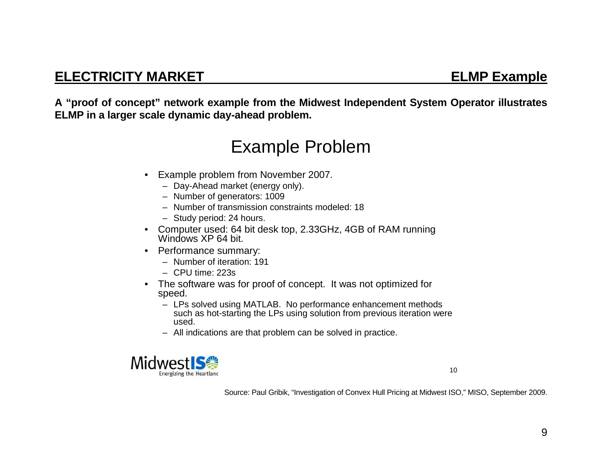**A "proof of concept" network example from the Midwest Independent System Operator illustrates ELMP in a larger scale dynamic day-ahead problem.** 

# Example Problem

- Example problem from November 2007.
	- Day-Ahead market (energy only).
	- Number of generators: 1009
	- Number of transmission constraints modeled: 18
	- Study period: 24 hours.
- Computer used: 64 bit desk top, 2.33GHz, 4GB of RAM running Windows XP 64 bit.
- Performance summary:
	- Number of iteration: 191
	- CPU time: 223s
- • The software was for proof of concept. It was not optimized for speed.
	- LPs solved using MATLAB. No performance enhancement methods such as hot-starting the LPs using solution from previous iteration were used.
	- All indications are that problem can be solved in practice.



10

Source: Paul Gribik, "Investigation of Convex Hull Pricing at Midwest ISO," MISO, September 2009.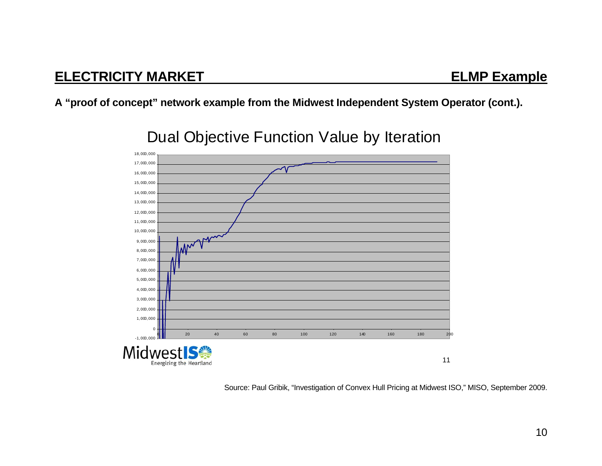### **A "proof of concept" network example from the Midwest Independent System Operator (cont.).**



# Dual Objective Function Value by Iteration

Source: Paul Gribik, "Investigation of Convex Hull Pricing at Midwest ISO," MISO, September 2009.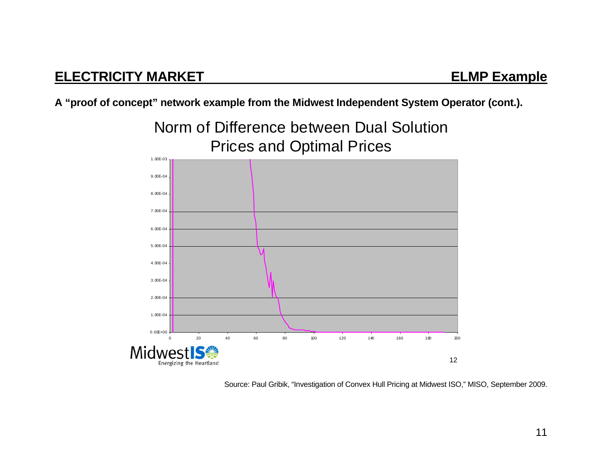**A "proof of concept" network example from the Midwest Independent System Operator (cont.).** 



Source: Paul Gribik, "Investigation of Convex Hull Pricing at Midwest ISO," MISO, September 2009.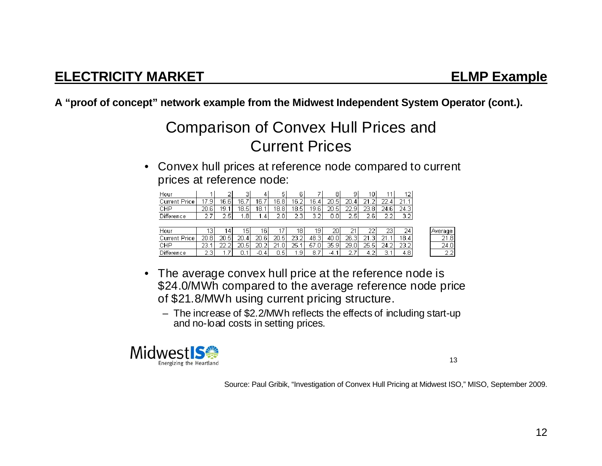**A "proof of concept" network example from the Midwest Independent System Operator (cont.).** 

# Comparison of Convex Hull Prices and Current Prices

• Convex hull prices at reference node compared to current prices at reference node:

| Hour       |              | -     | ÷    |          | ь       | 6                  |                      | 8    | u<br>÷                   | 0           |             | ١∠            |
|------------|--------------|-------|------|----------|---------|--------------------|----------------------|------|--------------------------|-------------|-------------|---------------|
|            | a            | 16.6  | 6.7  | 16.7     | 16.8    | 16.2.              | 16.<br>4             | 20.5 | הר                       | $\sim$      |             | OИ            |
| CHP        | -20.6<br>'n. | 19.   | 18.5 | 18.<br>и | 18.81   | 18.5 <sub>1</sub>  | 19.61                | 20.5 | oo.                      | 23.8        | 24.61       | 24.3          |
| Difference | ÷            | O. F. | 8    | 4        | ∽<br>D. | $\sim$ $\sim$<br>× | $\sim$<br>a ser<br>× | Ο    | $\sim$<br>$\overline{ }$ | $\sim$<br>а | ∽<br>$\sim$ | . .<br>$\sim$ |

| Hour             | з           | 4                           | 15                | 16             |              | 18               | 19.        | 20       | -                | רר<br>∠∠  | 23             | 24        | l Average                 |
|------------------|-------------|-----------------------------|-------------------|----------------|--------------|------------------|------------|----------|------------------|-----------|----------------|-----------|---------------------------|
| Jurrent<br>Hrice | วก<br>∠0.8! | 20.5I                       | 20.<br>4          | 20.6           | 20.5<br>Б.   | OЗ.<br>∍<br>∠J.∠ | 48.3       | 40.0     | 26.3<br>$\sim$ 1 | ີ່<br>o l | O A            | 18.4<br>4 | 21.8                      |
| СНР              | าว          | ~~<br>$\tilde{\phantom{a}}$ | 20.5 <sub>1</sub> | 20.2           | CO 41<br>.ol | 25.              | -57<br>.ol | 35.9     | 29.0<br>ΩI       | 25.51     | 24.2<br>$\sim$ | 23.2      | 24.0                      |
| Difference       | -<br>ت. ے   | -<br>.                      |                   | o<br>д<br>FU.S | U.S.         | ا ق.             | 8.<br>᠇    | -4<br>т. | -<br><u>.</u>    | -<br>ے .  | ÷<br>. .       | 4.8       | $\sim$ $\sim$<br><u>.</u> |

- The average convex hull price at the reference node is \$24.0/MWh compared to the average reference node price of \$21.8/MWh using current pricing structure.
	- The increase of \$2.2/MWh reflects the effects of including start-up and no-load costs in setting prices.



13

Source: Paul Gribik, "Investigation of Convex Hull Pricing at Midwest ISO," MISO, September 2009.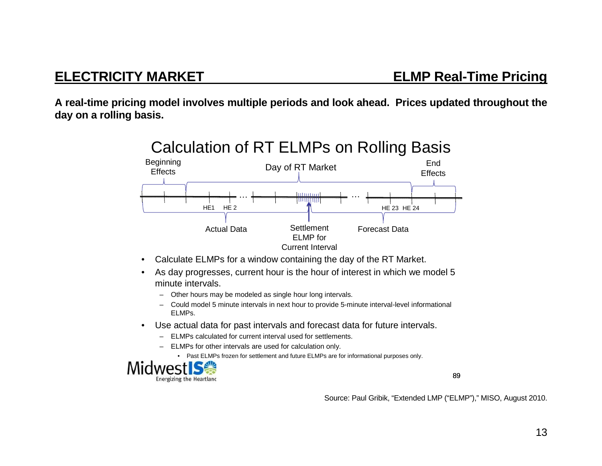**A real-time pricing model involves multiple periods and look ahead. Prices updated throughout the day on a rolling basis.** 

![](_page_13_Figure_3.jpeg)

- •Calculate ELMPs for a window containing the day of the RT Market.
- $\bullet$  As day progresses, current hour is the hour of interest in which we model 5 minute intervals.
	- Other hours may be modeled as single hour long intervals.
	- Could model 5 minute intervals in next hour to provide 5-minute interval-level informational ELMPs.
- • Use actual data for past intervals and forecast data for future intervals.
	- ELMPs calculated for current interval used for settlements.
	- ELMPs for other intervals are used for calculation only.
		- Past ELMPs frozen for settlement and future ELMPs are for informational purposes only.

![](_page_13_Picture_12.jpeg)

89

Source: Paul Gribik, "Extended LMP ("ELMP")," MISO, August 2010.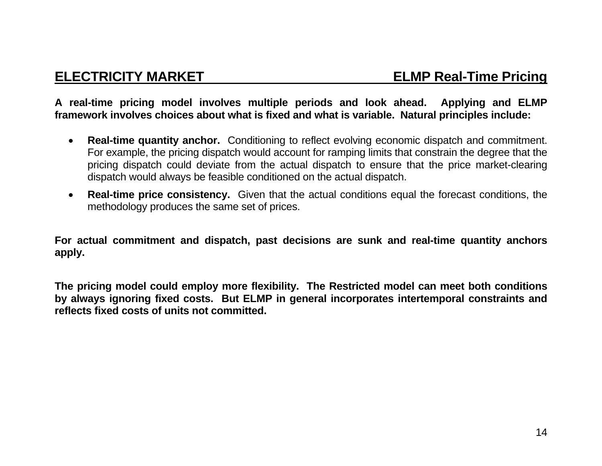**A real-time pricing model involves multiple periods and look ahead. Applying and ELMP framework involves choices about what is fixed and what is variable. Natural principles include:** 

- $\bullet$  **Real-time quantity anchor.** Conditioning to reflect evolving economic dispatch and commitment. For example, the pricing dispatch would account for ramping limits that constrain the degree that the pricing dispatch could deviate from the actual dispatch to ensure that the price market-clearing dispatch would always be feasible conditioned on the actual dispatch.
- $\bullet$  **Real-time price consistency.** Given that the actual conditions equal the forecast conditions, the methodology produces the same set of prices.

**For actual commitment and dispatch, past decisions are sunk and real-time quantity anchors apply.** 

**The pricing model could employ more flexibility. The Restricted model can meet both conditions by always ignoring fixed costs. But ELMP in general incorporates intertemporal constraints and reflects fixed costs of units not committed.**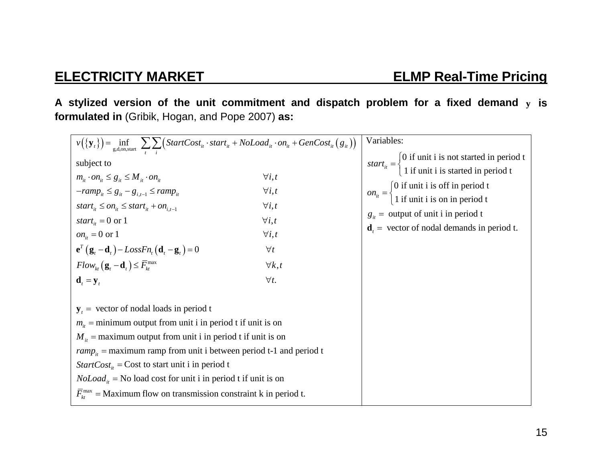**A stylized version of the unit commitment and dispatch problem for a fixed demand <sup>y</sup> is formulated in** (Gribik, Hogan, and Pope 2007) **as:** 

| $v(\{\mathbf{y}_t\}) = \inf_{\text{g,d,onstart}} \sum_{t} \sum_{i} \left( StartCost_{it} \cdot start_{it} + NoLoad_{it} \cdot on_{it} + GenCost_{it}(g_{it})\right)$ | Variables:     |                                                                                                                       |  |  |  |
|----------------------------------------------------------------------------------------------------------------------------------------------------------------------|----------------|-----------------------------------------------------------------------------------------------------------------------|--|--|--|
| subject to                                                                                                                                                           |                | start <sub>it</sub> = $\begin{cases} 0$ if unit i is not started in period t<br>1 if unit i is started in period t    |  |  |  |
| $m_{it} \cdot on_{it} \leq g_{it} \leq M_{it} \cdot on_{it}$                                                                                                         | $\forall i, t$ |                                                                                                                       |  |  |  |
| $-ramp_{it} \leq g_{it} - g_{i,t-1} \leq ramp_{it}$                                                                                                                  | $\forall i, t$ | $on_{it} = \begin{cases} 0 \text{ if unit i is off in period t} \\ 1 \text{ if unit i is on in period t} \end{cases}$ |  |  |  |
| start <sub>it</sub> $\leq on_{it} \leq start_{it} + on_{i,t-1}$                                                                                                      | $\forall i, t$ |                                                                                                                       |  |  |  |
| start <sub>it</sub> = 0 or 1                                                                                                                                         | $\forall i, t$ | $g_{it}$ = output of unit i in period t                                                                               |  |  |  |
| $on_{ii} = 0$ or 1                                                                                                                                                   | $\forall i, t$ | $\mathbf{d}_{t}$ = vector of nodal demands in period t.                                                               |  |  |  |
| $\mathbf{e}^T\left(\mathbf{g}_t-\mathbf{d}_t\right)-LossFn_t\left(\mathbf{d}_t-\mathbf{g}_t\right)=0$                                                                | $\forall t$    |                                                                                                                       |  |  |  |
| $Flow_{kt}(\mathbf{g}_{t}-\mathbf{d}_{t}) \leq \overline{F}_{kt}^{\max}$                                                                                             | $\forall k, t$ |                                                                                                                       |  |  |  |
| $\mathbf{d}_{t} = \mathbf{y}_{t}$                                                                                                                                    | $\forall t.$   |                                                                                                                       |  |  |  |
| $y_t$ = vector of nodal loads in period t<br>$m_{\hat{i}}$ = minimum output from unit i in period t if unit is on                                                    |                |                                                                                                                       |  |  |  |
| $M_{it}$ = maximum output from unit i in period t if unit is on                                                                                                      |                |                                                                                                                       |  |  |  |
| $ramp_{\mu}$ = maximum ramp from unit i between period t-1 and period t                                                                                              |                |                                                                                                                       |  |  |  |
| <i>StartCost</i> <sub><i>it</i></sub> = Cost to start unit i in period t                                                                                             |                |                                                                                                                       |  |  |  |
| $Noloadit$ = No load cost for unit i in period t if unit is on                                                                                                       |                |                                                                                                                       |  |  |  |
| $\overline{F}_{1t}^{\text{max}}$ = Maximum flow on transmission constraint k in period t.                                                                            |                |                                                                                                                       |  |  |  |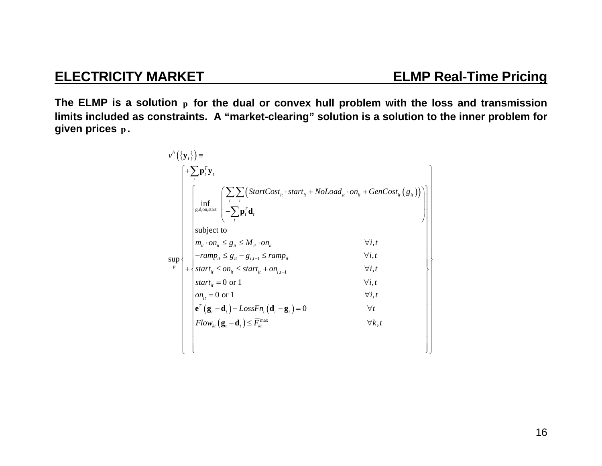**The ELMP is a solution <sup>p</sup> for the dual or convex hull problem with the loss and transmission limits included as constraints. A "market-clearing" solution is a solution to the inner problem for given prices p .** 

$$
v^{h}(\lbrace \mathbf{y}_{t} \rbrace) = \left\{ \begin{aligned} & + \sum_{t} \mathbf{p}_{t}^{T} \mathbf{y}_{t} \\ & \left\{ \begin{aligned} & \inf_{\mathbf{g}, \mathbf{d}, \mathbf{on}, \text{start}} \left\{ \begin{aligned} & - \sum_{t} \sum_{i} \left( StartCost_{it} \cdot start_{it} + Nolload_{it} \cdot on_{it} + GenCost_{it} \left( g_{it} \right) \right) \\ & \text{subject to} \\ & m_{it} \cdot on_{it} \leq g_{it} \leq M_{it} \cdot on_{it} \end{aligned} \right\} \\ & \text{subject to} \\ & m_{it} \cdot on_{it} \leq g_{it} \leq M_{it} \cdot on_{it} \qquad \forall i, t \\ & start_{it} \leq on_{it} \leq start_{it} + on_{i, t-1} \qquad \forall i, t \\ & start_{it} = 0 \text{ or } 1 \qquad \forall i, t \\ & \text{start}_{it} = 0 \text{ or } 1 \qquad \forall i, t \\ & e^{T}(\mathbf{g}_{t} - \mathbf{d}_{t}) - LossFn_{t}(\mathbf{d}_{t} - \mathbf{g}_{t}) = 0 \qquad \forall t \\ & Flow_{kt}(\mathbf{g}_{t} - \mathbf{d}_{t}) \leq \overline{F}_{kt}^{\text{max}} \qquad \forall k, t \qquad \forall k, t \end{aligned} \right\}
$$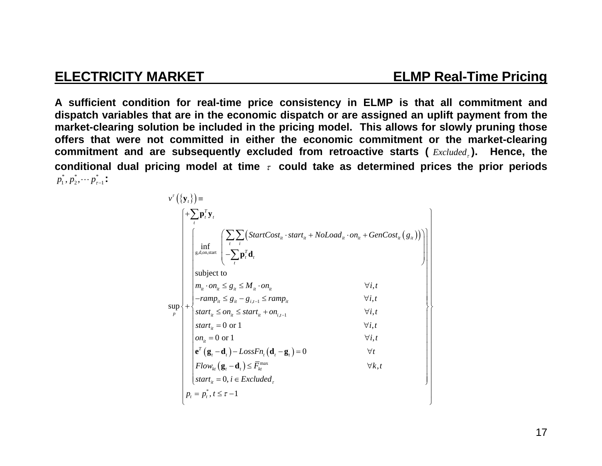**A sufficient condition for real-time price consistency in ELMP is that all commitment and dispatch variables that are in the economic dispatch or are assigned an uplift payment from the market-clearing solution be included in the pricing model. This allows for slowly pruning those offers that were not committed in either the economic commitment or the market-clearing commitment and are subsequently excluded from retroactive starts (** *Excluded* **). Hence, the**  conditional dual pricing model at time  $\tau$  could take as determined prices the prior periods  $p_1^*, p_2^*, \cdots p_{\tau-1}^*$  :

$$
v^{r}(\lbrace \mathbf{y}_{t} \rbrace) = \left\{\n\begin{aligned}\n& \int_{t}^{r} \mathbf{p}_{t}^{T} \mathbf{y}_{t} \\
& \int_{g,d,0n, \text{start}} \left( \frac{\sum_{i} \sum_{i} \left( \text{StartCost}_{i} \cdot \text{start}_{i} + \text{NoLoad}_{i} \cdot \text{on}_{i} + \text{GenCost}_{i} \left( g_{i} \right) \right)}{\sum_{i} \mathbf{p}_{t}^{T} \mathbf{d}_{t}} \right)\n\end{aligned}\n\right\}
$$
\n
$$
\text{subject to}
$$
\n
$$
m_{u} \cdot \text{on}_{u} \leq g_{u} \leq M_{u} \cdot \text{on}_{u}
$$
\n
$$
\left\{\n\begin{aligned}\n& \text{subject to} \\
& m_{u} \cdot \text{on}_{u} \leq g_{u} \leq M_{u} \cdot \text{on}_{u} \\
& \text{start}_{u} \leq g_{u} - g_{i,t-1} \leq \text{ramp}_{u} \\
\text{start}_{u} \leq \text{on}_{u} \leq \text{start}_{u} + \text{on}_{i,t-1} \\
& \text{start}_{u} = 0 \text{ or } 1 \\
& \text{on}_{u} = 0 \text{ or } 1 \\
& \text{if} \\
& \text{if} \\
\mathbf{p}_{t} = \mathbf{p}_{t}^{*}, t \leq \tau - 1\n\end{aligned}\n\right\}
$$
\n
$$
\left\{\n\begin{aligned}\n& \text{if} \\
\text{if} \\
\text{if} \\
\text{if} \\
\text{if} \\
\text{if} \\
\text{if} \\
\text{if} \\
\text{if} \\
\text{if} \\
\text{if} \\
\text{if} \\
\text{if} \\
\text{if} \\
\text{if} \\
\text{if} \\
\text{if} \\
\text{if} \\
\text{if} \\
\text{if} \\
\text{if} \\
\text{if} \\
\text{if} \\
\text{if} \\
\text{if} \\
\text{if} \\
\text{if} \\
\text{if} \\
\text{if} \\
\text{if} \\
\text{if} \\
\text{if} \\
\text{if} \\
\text{if} \\
\text{if} \\
\text{if} \\
\text{if} \\
\text{if} \\
\text{if} \\
\text{if} \\
\text{if} \\
\text{if} \\
\
$$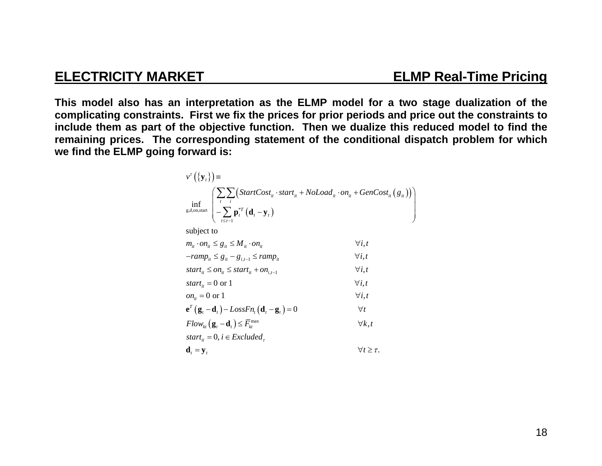**This model also has an interpretation as the ELMP model for a two stage dualization of the complicating constraints. First we fix the prices for prior periods and price out the constraints to include them as part of the objective function. Then we dualize this reduced model to find the remaining prices. The corresponding statement of the conditional dispatch problem for which we find the ELMP going forward is:** 

| $v^{\tau}(\{\mathbf{y}_{t}\})$ =                                                                                                                                                                                                                  |                         |
|---------------------------------------------------------------------------------------------------------------------------------------------------------------------------------------------------------------------------------------------------|-------------------------|
| $\inf_{g,d,\text{on,start}} \left( \frac{\sum_{t} \sum_{i} \left( StartCost_{it} \cdot start_{it} + NoLoad_{it} \cdot on_{it} + GenCost_{it} (g_{it}) \right)}{-\sum_{t \leq t-1} \mathbf{p}_{t}^{*T} (\mathbf{d}_{t} - \mathbf{y}_{t})} \right)$ |                         |
| subject to                                                                                                                                                                                                                                        |                         |
| $m_{ii} \cdot on_{ii} \leq g_{ii} \leq M_{ii} \cdot on_{ii}$                                                                                                                                                                                      | $\forall i. t$          |
| $-ramp_{it} \leq g_{it} - g_{i,t-1} \leq ramp_{it}$                                                                                                                                                                                               | $\forall i, t$          |
| start <sub>it</sub> $\leq$ on <sub>it</sub> $\leq$ start <sub>it</sub> + on <sub>it-1</sub>                                                                                                                                                       | $\forall i. t$          |
| start <sub>it</sub> = 0 or 1                                                                                                                                                                                                                      | $\forall i. t$          |
| $on_{ii} = 0$ or 1                                                                                                                                                                                                                                | $\forall i, t$          |
| $\mathbf{e}^T (\mathbf{g}_t - \mathbf{d}_t) - LossFn_t (\mathbf{d}_t - \mathbf{g}_t) = 0$                                                                                                                                                         | $\forall t$             |
| $Flow_{kt}(\mathbf{g}_{t}-\mathbf{d}_{t}) \leq \overline{F}_{kt}^{\max}$                                                                                                                                                                          | $\forall k.t$           |
| start <sub>it</sub> = 0, $i \in Excluded$                                                                                                                                                                                                         |                         |
| $\mathbf{d}_{t} = \mathbf{y}_{t}$                                                                                                                                                                                                                 | $\forall t \geq \tau$ . |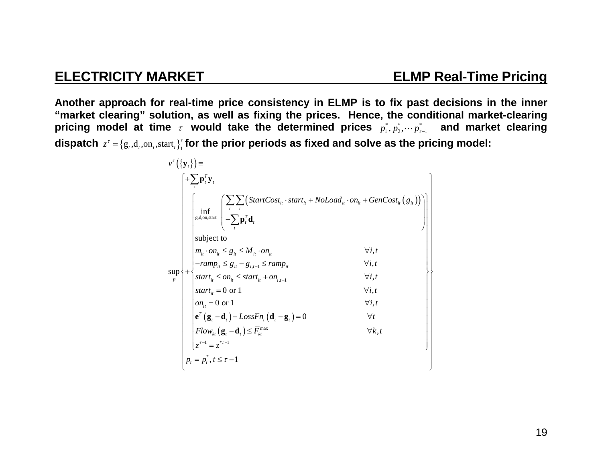### **ELECTRICITY MARKET ELMP Real-Time Pricing**

**Another approach for real-time price consistency in ELMP is to fix past decisions in the inner "market clearing" solution, as well as fixing the prices. Hence, the conditional market-clearing**  pricing model at time  $\tau$  would take the determined prices  $p_1^*,p_2^*,\cdots p_{\tau-1}^*$  and market clearing dispatch  $z^{\tau} = \{ \text{g}_t, \text{d}_t, \text{on}_t, \text{start}_t \}^{\tau}_1$  for the prior periods as fixed and solve as the pricing model:

$$
v^{r}(\lbrace \mathbf{y}_{t} \rbrace) = \left\{\n\begin{array}{c}\n+\sum_{i} \mathbf{p}_{i}^{T} \mathbf{y}_{t} \\
\int_{\text{g.d. on, start}} \left\{\n\begin{array}{c}\n\sum_{i} \sum_{i} \left( StartCost_{it} \cdot start_{it} + Nolload_{it} \cdot on_{it} + GenCost_{it} (g_{it})\right) \\
-\sum_{i} \mathbf{p}_{i}^{T} \mathbf{d}_{t} \\
\text{subject to} \\
m_{it} \cdot on_{it} \leq g_{it} \leq M_{it} \cdot on_{it} & \forall i, t \\
-\n\end{array}\n\right\}\n\left\{\n\begin{array}{c}\n\text{subject to} \\
m_{it} \cdot on_{it} \leq g_{it} \leq M_{it} \cdot on_{it} & \forall i, t \\
-\n\text{ramp}_{it} \leq g_{it} - g_{i,t-1} \leq \text{ramp}_{it} & \forall i, t \\
\text{start}_{it} \leq on_{it} \leq start_{it} + on_{i,t-1} & \forall i, t \\
\text{start}_{it} = 0 \text{ or } 1 & \forall i, t \\
\text{start}_{it} = 0 \text{ or } 1 & \forall i, t \\
\mathbf{e}^{r} (\mathbf{g}_{t} - \mathbf{d}_{t}) - LossFn_{t} (\mathbf{d}_{t} - \mathbf{g}_{t}) = 0 & \forall t \\
Flow_{kt} (\mathbf{g}_{t} - \mathbf{d}_{t}) \leq \overline{F}_{kt}^{\text{max}} & \forall k, t \\
\downarrow^{r-1} = z^{r-1} \\
p_{t} = p_{t}^{*}, t \leq \tau - 1\n\end{array}\n\right\}
$$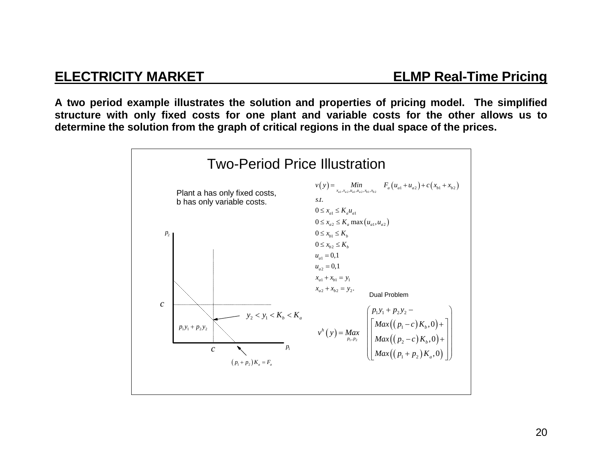**A two period example illustrates the solution and properties of pricing model. The simplified structure with only fixed costs for one plant and variable costs for the other allows us to determine the solution from the graph of critical regions in the dual space of the prices.** 

![](_page_20_Figure_3.jpeg)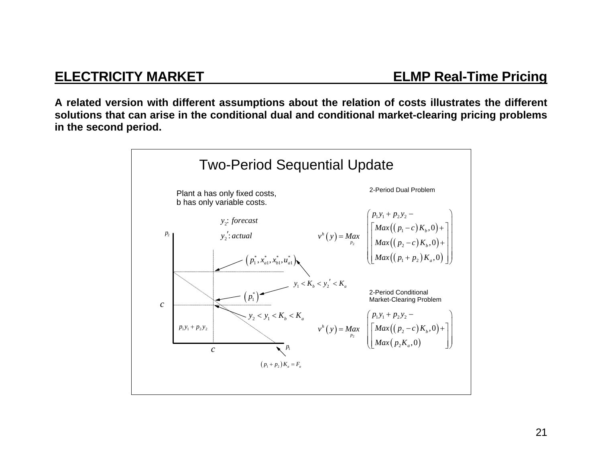**A related version with different assumptions about the relation of costs illustrates the different solutions that can arise in the conditional dual and conditional market-clearing pricing problems in the second period.** 

![](_page_21_Figure_3.jpeg)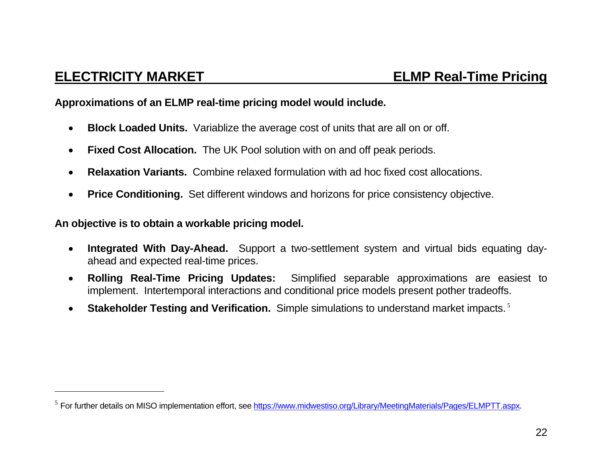**Approximations of an ELMP real-time pricing model would include.** 

- $\bullet$ **Block Loaded Units.** Variablize the average cost of units that are all on or off.
- $\bullet$ **Fixed Cost Allocation.** The UK Pool solution with on and off peak periods.
- $\bullet$ **Relaxation Variants.** Combine relaxed formulation with ad hoc fixed cost allocations.
- $\bullet$ **Price Conditioning.** Set different windows and horizons for price consistency objective.

**An objective is to obtain a workable pricing model.** 

- $\bullet$  **Integrated With Day-Ahead.** Support a two-settlement system and virtual bids equating dayahead and expected real-time prices.
- $\bullet$  **Rolling Real-Time Pricing Updates:** Simplified separable approximations are easiest to implement. Intertemporal interactions and conditional price models present pother tradeoffs.
- $\bullet$ **Stakeholder Testing and Verification.** Simple simulations to understand market impacts.<sup>5</sup>

<sup>&</sup>lt;sup>5</sup> For further details on MISO implementation effort, see <u>https://www.midwestiso.org/Library/MeetingMaterials/Pages/ELMPTT.aspx</u>.